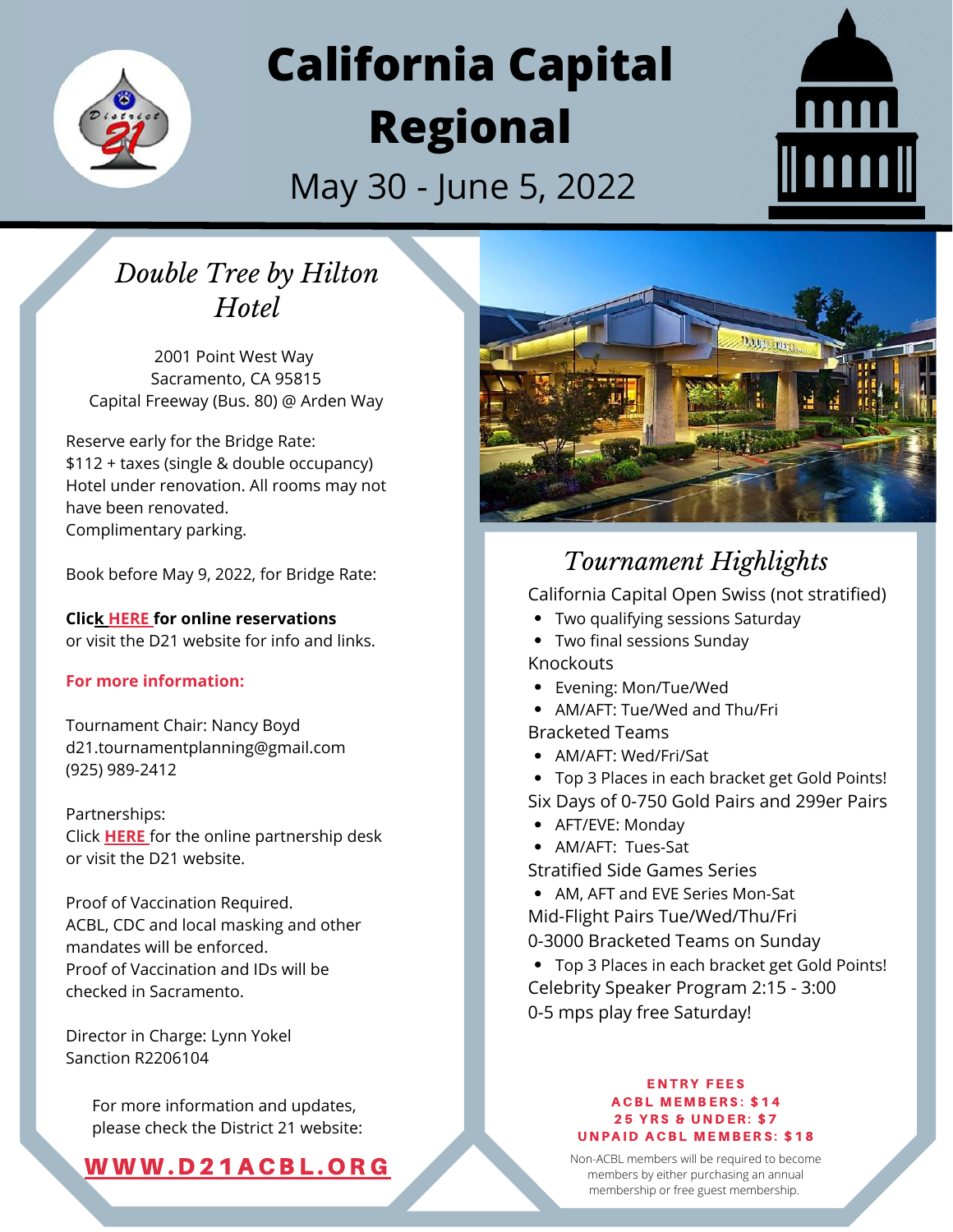

# **California Capital Regional**

May 30 - June 5, 2022



## *Double Tree by Hilton Hotel*

2001 Point West Way Sacramento, CA 95815 Capital Freeway (Bus. 80) @ Arden Way

Reserve early for the Bridge Rate: \$112 + taxes (single & double occupancy) Hotel under renovation. All rooms may not have been renovated. Complimentary parking.

Book before May 9, 2022, for Bridge Rate:

**Cli[ck](http://l.h4.hilton.com/rts/go2.aspx?h=1993652&tp=i-16D9-Ak-Dd7-9jQ8EB-24-huoCP-1c-l74ISQonLG-2JWntH&x=www.my-event.hilton.com/americancontractbridge/) [HERE](http://l.h4.hilton.com/rts/go2.aspx?h=1993652&tp=i-16D9-Ak-Dd7-9jQ8EB-24-huoCP-1c-l74ISQonLG-2JWntH&x=www.my-event.hilton.com/americancontractbridge/) for online reservations** or visit the D21 website for info and links.

#### **For more information:**

Tournament Chair: Nancy Boyd d21.tournamentplanning@gmail.com (925) 989-2412

Partnerships: Click **[HERE](https://www.signupgenius.com/go/5080d4badaa29abff2-2022)** for the online partnership desk or visit the D21 website.

Proof of Vaccination Required. ACBL, CDC and local masking and other mandates will be enforced. Proof of Vaccination and IDs will be checked in Sacramento.

Director in Charge: Lynn Yokel Sanction R2206104

> For more information and updates, please check the District 21 website:

### [WWW.](https://d21acbl.org/)D21ACBL.ORG



### *Tournament Highlights*

California Capital Open Swiss (not stratified)

- Two qualifying sessions Saturday
- Two final sessions Sunday
- Knockouts
- Evening: Mon/Tue/Wed
- AM/AFT: Tue/Wed and Thu/Fri
- Bracketed Teams
- AM/AFT: Wed/Fri/Sat
- Top 3 Places in each bracket get Gold Points! Six Days of 0-750 Gold Pairs and 299er Pairs
- AFT/EVE: Monday
- AM/AFT: Tues-Sat
- Stratified Side Games Series
- AM, AFT and EVE Series Mon-Sat Mid-Flight Pairs Tue/Wed/Thu/Fri 0-3000 Bracketed Teams on Sunday
- Top 3 Places in each bracket get Gold Points! Celebrity Speaker Program 2:15 - 3:00 0-5 mps play free Saturday!

#### ENTRY FEES **ACBL MEMBERS: \$14 25 YRS & UNDER: \$7 UNPAID ACBL MEMBERS: \$18**

Non-ACBL members will be required to become members by either purchasing an annual membership or free guest membership.